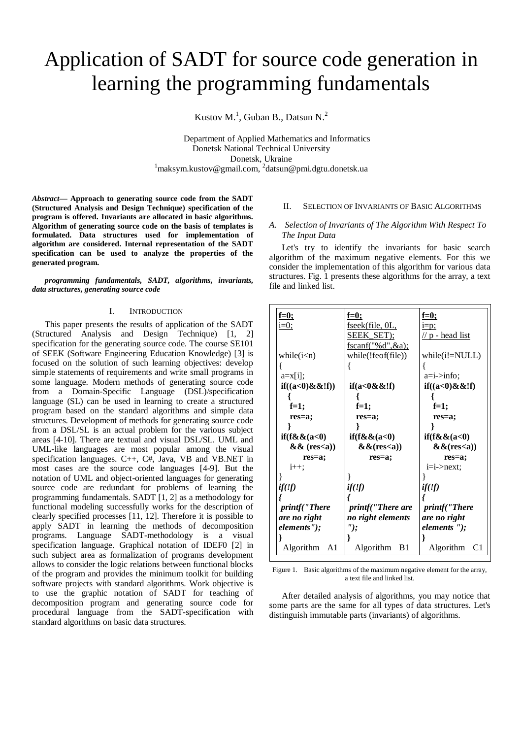# Application of SADT for source code generation in learning the programming fundamentals

Kustov M. 1 , Guban B., Datsun N. 2

Department of Applied Mathematics and Informatics Donetsk National Technical University Donetsk, Ukraine <sup>1</sup>maksym.kustov@gmail.com, <sup>2</sup>datsun@pmi.dgtu.donetsk.ua

*Abstract***— Approach to generating source code from the SADT (Structured Analysis and Design Technique) specification of the program is offered. Invariants are allocated in basic algorithms. Algorithm of generating source code on the basis of templates is formulated. Data structures used for implementation of algorithm are considered. Internal representation of the SADT specification can be used to analyze the properties of the generated program.**

*programming fundamentals, SADT, algorithms, invariants, data structures, generating source code*

## I. INTRODUCTION

This paper presents the results of application of the SADT (Structured Analysis and Design Technique) [1, 2] specification for the generating source code. The course SE101 of SEEK (Software Engineering Education Knowledge) [3] is focused on the solution of such learning objectives: develop simple statements of requirements and write small programs in some language. Modern methods of generating source code from a Domain-Specific Language (DSL)/specification language (SL) can be used in learning to create a structured program based on the standard algorithms and simple data structures. Development of methods for generating source code from a DSL/SL is an actual problem for the various subject areas [4-10]. There are textual and visual DSL/SL. UML and UML-like languages are most popular among the visual specification languages. C++, C#, Java, VB and VB.NET in most cases are the source code languages [4-9]. But the notation of UML and object-oriented languages for generating source code are redundant for problems of learning the programming fundamentals. SADT [1, 2] as a methodology for functional modeling successfully works for the description of clearly specified processes [11, 12]. Therefore it is possible to apply SADT in learning the methods of decomposition programs. Language SADT-methodology is a visual specification language. Graphical notation of IDEF0 [2] in such subject area as formalization of programs development allows to consider the logic relations between functional blocks of the program and provides the minimum toolkit for building software projects with standard algorithms. Work objective is to use the graphic notation of SADT for teaching of decomposition program and generating source code for procedural language from the SADT-specification with standard algorithms on basic data structures.

#### II. SELECTION OF INVARIANTS OF BASIC ALGORITHMS

## *A. Selection of Invariants of The Algorithm With Respect To The Input Data*

Let's try to identify the invariants for basic search algorithm of the maximum negative elements. For this we consider the implementation of this algorithm for various data structures. Fig. 1 presents these algorithms for the array, a text file and linked list.



Figure 1. Basic algorithms of the maximum negative element for the array, a text file and linked list.

After detailed analysis of algorithms, you may notice that some parts are the same for all types of data structures. Let's distinguish immutable parts (invariants) of algorithms.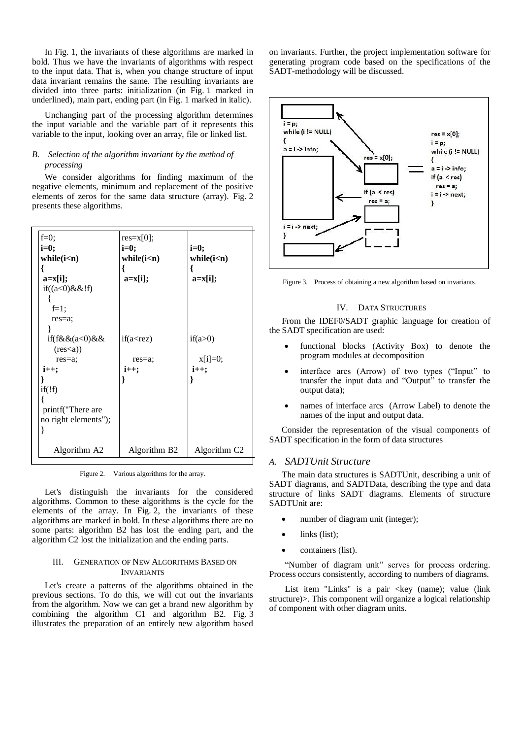In Fig. 1, the invariants of these algorithms are marked in bold. Thus we have the invariants of algorithms with respect to the input data. That is, when you change structure of input data invariant remains the same. The resulting invariants are divided into three parts: initialization (in Fig. 1 marked in underlined), main part, ending part (in Fig. 1 marked in italic).

Unchanging part of the processing algorithm determines the input variable and the variable part of it represents this variable to the input, looking over an array, file or linked list.

## *B. Selection of the algorithm invariant by the method of processing*

We consider algorithms for finding maximum of the negative elements, minimum and replacement of the positive elements of zeros for the same data structure (array). Fig. 2 presents these algorithms.

| $f=0$ ;<br>$i=0;$<br>while (i < n)<br>$a=x[i];$<br>$if((a<0) \&\&!f)$<br>$f=1$ :<br>$res=a;$                            | $res=x[0];$<br>$i=0;$<br>while (i < n)<br>$a=x[i];$ | $i=0;$<br>while (i < n)<br>$a=x[i];$ |
|-------------------------------------------------------------------------------------------------------------------------|-----------------------------------------------------|--------------------------------------|
| if(f&&(a<0)&&<br>(res <sub>a</sub> )<br>$res=a$ :<br>$i++;$<br>if('f)<br>printf("There are<br>no right elements");<br>ł | if(a < rez)<br>$res=a$ :<br>$i++;$<br>ł             | if(a>0)<br>$x[i]=0;$<br>$i++$ ;<br>ł |
| Algorithm A2                                                                                                            | Algorithm B2                                        | Algorithm C <sub>2</sub>             |

Figure 2. Various algorithms for the array.

Let's distinguish the invariants for the considered algorithms. Common to these algorithms is the cycle for the elements of the array. In Fig. 2, the invariants of these algorithms are marked in bold. In these algorithms there are no some parts: algorithm B2 has lost the ending part, and the algorithm C2 lost the initialization and the ending parts.

## III. GENERATION OF NEW ALGORITHMS BASED ON INVARIANTS

Let's create a patterns of the algorithms obtained in the previous sections. To do this, we will cut out the invariants from the algorithm. Now we can get a brand new algorithm by combining the algorithm C1 and algorithm B2. Fig. 3 illustrates the preparation of an entirely new algorithm based on invariants. Further, the project implementation software for generating program code based on the specifications of the SADT-methodology will be discussed.



Figure 3. Process of obtaining a new algorithm based on invariants.

#### IV. DATA STRUCTURES

From the IDEF0/SADT graphic language for creation of the SADT specification are used:

- functional blocks (Activity Box) to denote the program modules at decomposition
- interface arcs (Arrow) of two types ("Input" to transfer the input data and "Output" to transfer the output data);
- names of interface arcs (Arrow Label) to denote the names of the input and output data.

Consider the representation of the visual components of SADT specification in the form of data structures

## *A. SADTUnit Structure*

The main data structures is SADTUnit, describing a unit of SADT diagrams, and SADTData, describing the type and data structure of links SADT diagrams. Elements of structure SADTUnit are:

- number of diagram unit (integer);
- links (list);
- containers (list).

"Number of diagram unit" serves for process ordering. Process occurs consistently, according to numbers of diagrams.

List item "Links" is a pair <key (name); value (link structure)>. This component will organize a logical relationship of component with other diagram units.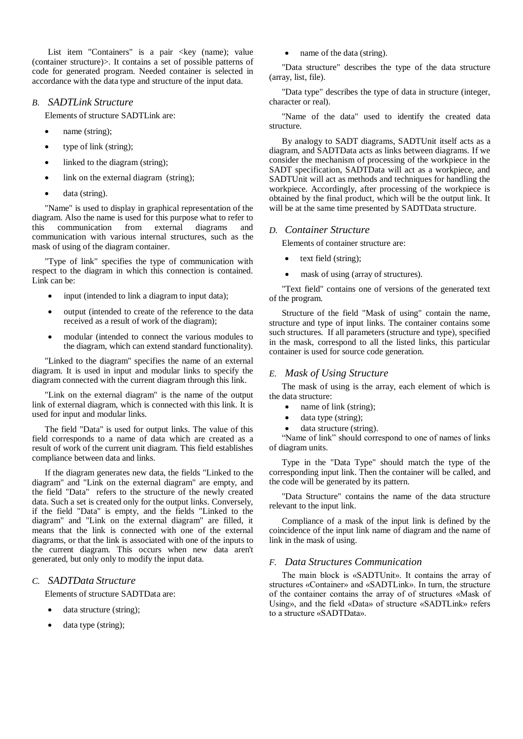List item "Containers" is a pair <key (name); value (container structure)>. It contains a set of possible patterns of code for generated program. Needed container is selected in accordance with the data type and structure of the input data.

## *B. SADTLink Structure*

Elements of structure SADTLink are:

- name (string);
- type of link (string);
- linked to the diagram (string);
- link on the external diagram (string);
- data (string).

"Name" is used to display in graphical representation of the diagram. Also the name is used for this purpose what to refer to<br>this communication from external diagrams and communication from external diagrams and communication with various internal structures, such as the mask of using of the diagram container.

"Type of link" specifies the type of communication with respect to the diagram in which this connection is contained. Link can be:

- input (intended to link a diagram to input data);
- output (intended to create of the reference to the data received as a result of work of the diagram);
- modular (intended to connect the various modules to the diagram, which can extend standard functionality).

"Linked to the diagram" specifies the name of an external diagram. It is used in input and modular links to specify the diagram connected with the current diagram through this link.

"Link on the external diagram" is the name of the output link of external diagram, which is connected with this link. It is used for input and modular links.

The field "Data" is used for output links. The value of this field corresponds to a name of data which are created as a result of work of the current unit diagram. This field establishes compliance between data and links.

If the diagram generates new data, the fields "Linked to the diagram" and "Link on the external diagram" are empty, and the field "Data" refers to the structure of the newly created data. Such a set is created only for the output links. Conversely, if the field "Data" is empty, and the fields "Linked to the diagram" and "Link on the external diagram" are filled, it means that the link is connected with one of the external diagrams, or that the link is associated with one of the inputs to the current diagram. This occurs when new data aren't generated, but only only to modify the input data.

## *C. SADTData Structure*

Elements of structure SADTData are:

- data structure (string);
- data type (string);

• name of the data (string).

"Data structure" describes the type of the data structure (array, list, file).

"Data type" describes the type of data in structure (integer, character or real).

"Name of the data" used to identify the created data structure.

By analogy to SADT diagrams, SADTUnit itself acts as a diagram, and SADTData acts as links between diagrams. If we consider the mechanism of processing of the workpiece in the SADT specification, SADTData will act as a workpiece, and SADTUnit will act as methods and techniques for handling the workpiece. Accordingly, after processing of the workpiece is obtained by the final product, which will be the output link. It will be at the same time presented by SADTData structure.

## *D. Container Structure*

Elements of container structure are:

- text field (string);
- mask of using (array of structures).

"Text field" contains one of versions of the generated text of the program.

Structure of the field "Mask of using" contain the name, structure and type of input links. The container contains some such structures. If all parameters (structure and type), specified in the mask, correspond to all the listed links, this particular container is used for source code generation.

## *E. Mask of Using Structure*

The mask of using is the array, each element of which is the data structure:

- name of link (string);
- data type (string);
- data structure (string).

"Name of link" should correspond to one of names of links of diagram units.

Type in the "Data Type" should match the type of the corresponding input link. Then the container will be called, and the code will be generated by its pattern.

"Data Structure" contains the name of the data structure relevant to the input link.

Compliance of a mask of the input link is defined by the coincidence of the input link name of diagram and the name of link in the mask of using.

## *F. Data Structures Communication*

The main block is «SADTUnit». It contains the array of structures «Container» and «SADTLink». In turn, the structure of the container contains the array of of structures «Mask of Using», and the field «Data» of structure «SADTLink» refers to a structure «SADTData».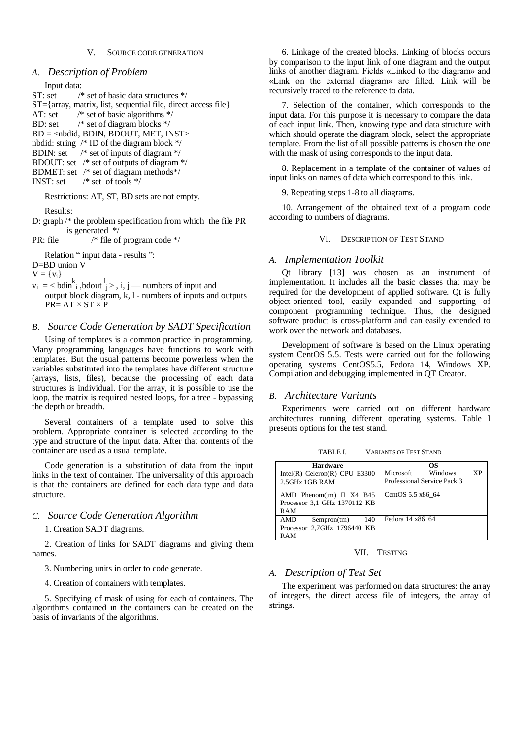#### V. SOURCE CODE GENERATION

## *A. Description of Problem*

Input data:

ST: set /\* set of basic data structures \*/ ST={array, matrix, list, sequential file, direct access file} AT: set /\* set of basic algorithms \*/<br>BD: set /\* set of diagram blocks \*/ /\* set of diagram blocks  $*/$  $BD =$  <nbdid, BDIN, BDOUT, MET, INST> nbdid: string /\* ID of the diagram block \*/ BDIN: set /\* set of inputs of diagram \*/ BDOUT: set /\* set of outputs of diagram \*/ BDMET: set /\* set of diagram methods\*/ INST: set /\* set of tools \*/

Restrictions: AT, ST, BD sets are not empty.

Results:

D: graph /\* the problem specification from which the file PR is generated \*/

PR: file /\* file of program code \*/

Relation " input data - results ":

D=BD union V

- $V = {v_i}$  $v_i = \text{colim}_{i}^k$ , bdout  $i_j > i$ , i, j — numbers of input and
- output block diagram, k, l numbers of inputs and outputs  $PR = AT \times ST \times P$

## *B. Source Code Generation by SADT Specification*

Using of templates is a common practice in programming. Many programming languages have functions to work with templates. But the usual patterns become powerless when the variables substituted into the templates have different structure (arrays, lists, files), because the processing of each data structures is individual. For the array, it is possible to use the loop, the matrix is required nested loops, for a tree - bypassing the depth or breadth.

Several containers of a template used to solve this problem. Appropriate container is selected according to the type and structure of the input data. After that contents of the container are used as a usual template.

Code generation is a substitution of data from the input links in the text of container. The universality of this approach is that the containers are defined for each data type and data structure.

### *C. Source Code Generation Algorithm*

1. Creation SADT diagrams.

2. Creation of links for SADT diagrams and giving them names.

3. Numbering units in order to code generate.

4. Creation of containers with templates.

5. Specifying of mask of using for each of containers. The algorithms contained in the containers can be created on the basis of invariants of the algorithms.

6. Linkage of the created blocks. Linking of blocks occurs by comparison to the input link of one diagram and the output links of another diagram. Fields «Linked to the diagram» and «Link on the external diagram» are filled. Link will be recursively traced to the reference to data.

7. Selection of the container, which corresponds to the input data. For this purpose it is necessary to compare the data of each input link. Then, knowing type and data structure with which should operate the diagram block, select the appropriate template. From the list of all possible patterns is chosen the one with the mask of using corresponds to the input data.

8. Replacement in a template of the container of values of input links on names of data which correspond to this link.

9. Repeating steps 1-8 to all diagrams.

10. Arrangement of the obtained text of a program code according to numbers of diagrams.

## VI. DESCRIPTION OF TEST STAND

#### *A. Implementation Toolkit*

Qt library [13] was chosen as an instrument of implementation. It includes all the basic classes that may be required for the development of applied software. Qt is fully object-oriented tool, easily expanded and supporting of component programming technique. Thus, the designed software product is cross-platform and can easily extended to work over the network and databases.

Development of software is based on the Linux operating system CentOS 5.5. Tests were carried out for the following operating systems CentOS5.5, Fedora 14, Windows XP. Compilation and debugging implemented in QT Creator.

#### *B. Architecture Variants*

Experiments were carried out on different hardware architectures running different operating systems. Table I presents options for the test stand.

TABLE I. VARIANTS OF TEST STAND

| <b>Hardware</b>               | ОS                                |  |
|-------------------------------|-----------------------------------|--|
| Intel(R) Celeron(R) CPU E3300 | Windows<br><b>XP</b><br>Microsoft |  |
| 2.5GHz 1GB RAM                | Professional Service Pack 3       |  |
| AMD Phenom $(tm)$ II X4 B45   | CentOS 5.5 x86 64                 |  |
| Processor 3,1 GHz 1370112 KB  |                                   |  |
| RAM                           |                                   |  |
| AMD<br>140<br>Sempron(tm)     | Fedora 14 x86 64                  |  |
| Processor 2.7GHz 1796440 KB   |                                   |  |
| RAM                           |                                   |  |

VII. TESTING

#### *A. Description of Test Set*

The experiment was performed on data structures: the array of integers, the direct access file of integers, the array of strings.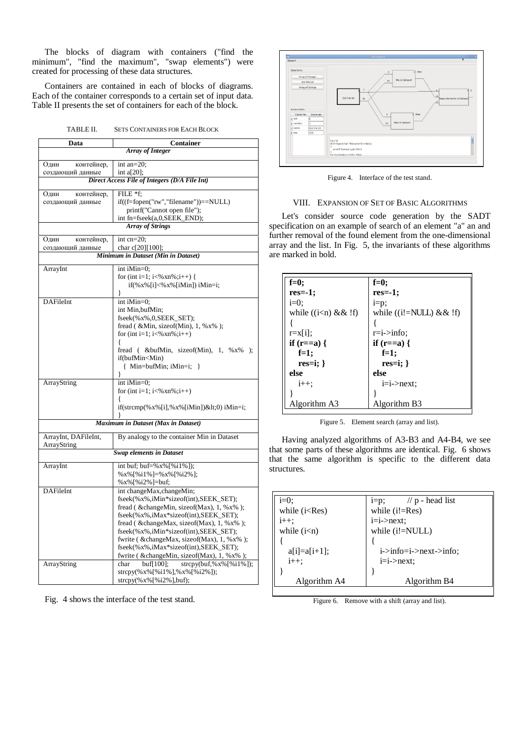The blocks of diagram with containers ("find the minimum", "find the maximum", "swap elements") were created for processing of these data structures.

Containers are contained in each of blocks of diagrams. Each of the container corresponds to a certain set of input data. Table II presents the set of containers for each of the block.

| TABLE II.<br><b>SETS CONTAINERS FOR EACH BLOCK</b> |
|----------------------------------------------------|
|----------------------------------------------------|

| Data                    | Container                                                                                   |  |  |  |  |
|-------------------------|---------------------------------------------------------------------------------------------|--|--|--|--|
| <b>Array of Integer</b> |                                                                                             |  |  |  |  |
| Один<br>контейнер,      | int an=20;                                                                                  |  |  |  |  |
| создающий данные        | int $a[20]$ ;                                                                               |  |  |  |  |
|                         | Direct Access File of Integers (D/A File Int)                                               |  |  |  |  |
| контейнер,<br>Один      | FILE *f:                                                                                    |  |  |  |  |
| создающий данные        | if((f=fopen("rw","filename"))==NULL)                                                        |  |  |  |  |
|                         | printf("Cannot open file");                                                                 |  |  |  |  |
|                         | int fn=fseek(a,0,SEEK_END);                                                                 |  |  |  |  |
|                         | <b>Array of Strings</b>                                                                     |  |  |  |  |
| Один<br>контейнер,      | int cn=20;                                                                                  |  |  |  |  |
| создающий данные        | char c[20][100];                                                                            |  |  |  |  |
|                         | Minimum in Dataset (Min in Dataset)                                                         |  |  |  |  |
| ArrayInt                | int iMin=0;                                                                                 |  |  |  |  |
|                         | for (int i=1; i<% xn%; i++) {                                                               |  |  |  |  |
|                         | $if(\% x\% [i] < \% x\% [iMin]) iMin=i;$                                                    |  |  |  |  |
|                         |                                                                                             |  |  |  |  |
| DAFileInt               | int iMin=0;                                                                                 |  |  |  |  |
|                         | int Min, buf Min;<br>fseek(%x%,0,SEEK_SET);                                                 |  |  |  |  |
|                         | fread ( $\&$ Min, sizeof(Min), 1, % $x\%$ );                                                |  |  |  |  |
|                         | for $(int i=1; i<\%xn\%; i++)$                                                              |  |  |  |  |
|                         | ł                                                                                           |  |  |  |  |
|                         | fread ( & bufMin, size of (Min), $1, \frac{9}{8}x\%$ );                                     |  |  |  |  |
|                         | if(bufMin <min)< td=""></min)<>                                                             |  |  |  |  |
|                         | $\{$ Min=bufMin; iMin=i; $\}$                                                               |  |  |  |  |
|                         |                                                                                             |  |  |  |  |
| ArrayString             | int iMin=0;                                                                                 |  |  |  |  |
|                         | for $(int i=1; i<\%xn\%; i++)$                                                              |  |  |  |  |
|                         |                                                                                             |  |  |  |  |
|                         | $if(\text{strcmp}(\% x\%[i], \% x\%[iMin])\<l; 0) iMin=i;$                                  |  |  |  |  |
|                         | Maximum in Dataset (Max in Dataset)                                                         |  |  |  |  |
| ArrayInt, DAFileInt,    | By analogy to the container Min in Dataset                                                  |  |  |  |  |
| ArrayString             |                                                                                             |  |  |  |  |
|                         | <b>Swap elements in Dataset</b>                                                             |  |  |  |  |
| ArrayInt                | int buf; buf=%x%[%i1%]);                                                                    |  |  |  |  |
|                         | $\%x\%$ [%i1%]=% $x\%$ [%i2%];                                                              |  |  |  |  |
|                         | %x%[%i2%]=buf;                                                                              |  |  |  |  |
| <b>DAFileInt</b>        | int changeMax, changeMin;                                                                   |  |  |  |  |
|                         | fseek(%x%,iMin*sizeof(int),SEEK_SET);                                                       |  |  |  |  |
|                         | fread (&changeMin, sizeof(Max), 1, %x%);                                                    |  |  |  |  |
|                         | fseek(%x%,iMax*sizeof(int),SEEK_SET);<br>fread ( $\&$ changeMax, sizeof(Max), 1, % $x\%$ ); |  |  |  |  |
|                         | fseek(%x%,iMin*sizeof(int),SEEK_SET);                                                       |  |  |  |  |
|                         | fwrite (&changeMax, sizeof(Max), 1, %x%);                                                   |  |  |  |  |
|                         | fseek(%x%,iMax*sizeof(int),SEEK_SET);                                                       |  |  |  |  |
|                         | fwrite (&changeMin, sizeof(Max), 1, %x%);                                                   |  |  |  |  |
| ArrayString             | strcpy(buf,% $x\%$ [%i1%]);<br>char<br>buf[100];                                            |  |  |  |  |
|                         | strcpy(%x%[%i1%],%x%[%i2%]);                                                                |  |  |  |  |
|                         | strcpy $(\%x\%[\%i2\%],\text{buf});$                                                        |  |  |  |  |

Fig. 4 shows the interface of the test stand.



Figure 4. Interface of the test stand.

#### VIII. EXPANSION OF SET OF BASIC ALGORITHMS

Let's consider source code generation by the SADT specification on an example of search of an element "a" an and further removal of the found element from the one-dimensional array and the list. In Fig. 5, the invariants of these algorithms are marked in bold.

| $f=0;$                      | $f=0;$                    |
|-----------------------------|---------------------------|
| $res=1$ :                   | $res=1$ :                 |
| $i=0$ :                     | $i=p$ ;                   |
| while $((i\leq n) \&\& !f)$ | while $(i!=NULL)$ & & !f) |
|                             |                           |
| $r = x[i];$                 | $r = i > \infty$          |
| if $(r == a)$ {             | if $(r == a)$ {           |
| $f=1$ ;                     | $f=1;$                    |
| $res=i; \}$                 | $res=i; \}$               |
| else                        | else                      |
| $i++$ :                     | $i=i$ ->next:             |
|                             |                           |
| Algorithm A3                | Algorithm B3              |

Figure 5. Element search (array and list).

Having analyzed algorithms of A3-B3 and A4-B4, we see that some parts of these algorithms are identical. Fig. 6 shows that the same algorithm is specific to the different data structures.

| $i=0$ :             | $\frac{1}{p}$ - head list<br>$i=p;$   |
|---------------------|---------------------------------------|
| while $(i<$ Res $)$ | while $(i!=$ Res)                     |
| $1++$ :             | $i=i$ -> $next;$                      |
| while $(i< n)$      | while $(i!=NULL)$                     |
|                     |                                       |
| $a[i]=a[i+1];$      | $i$ -> $info=i$ -> $next$ -> $info$ ; |
| $i++$ ;             | $i=i$ ->next;                         |
|                     |                                       |
| Algorithm A4        | Algorithm B4                          |

Figure 6. Remove with a shift (array and list).